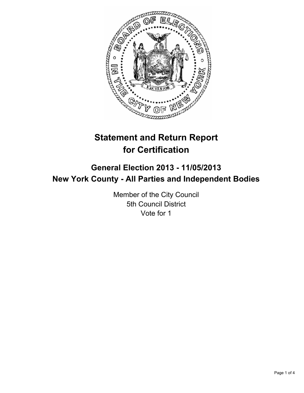

# **Statement and Return Report for Certification**

## **General Election 2013 - 11/05/2013 New York County - All Parties and Independent Bodies**

Member of the City Council 5th Council District Vote for 1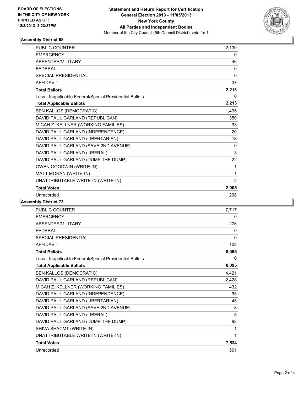

## **Assembly District 68**

| <b>PUBLIC COUNTER</b>                                    | 2,130 |
|----------------------------------------------------------|-------|
| <b>EMERGENCY</b>                                         | 0     |
| <b>ABSENTEE/MILITARY</b>                                 | 46    |
| <b>FFDFRAL</b>                                           | 0     |
| <b>SPECIAL PRESIDENTIAL</b>                              | 0     |
| <b>AFFIDAVIT</b>                                         | 37    |
| <b>Total Ballots</b>                                     | 2,213 |
| Less - Inapplicable Federal/Special Presidential Ballots | 0     |
| <b>Total Applicable Ballots</b>                          | 2,213 |
| <b>BEN KALLOS (DEMOCRATIC)</b>                           | 1,495 |
| DAVID PAUL GARLAND (REPUBLICAN)                          | 350   |
| MICAH Z. KELLNER (WORKING FAMILIES)                      | 93    |
| DAVID PAUL GARLAND (INDEPENDENCE)                        | 20    |
| DAVID PAUL GARLAND (LIBERTARIAN)                         | 18    |
| DAVID PAUL GARLAND (SAVE 2ND AVENUE)                     | 0     |
| DAVID PAUL GARLAND (LIBERAL)                             | 3     |
| DAVID PAUL GARLAND (DUMP THE DUMP)                       | 22    |
| <b>GWEN GOODWIN (WRITE-IN)</b>                           | 1     |
| MATT MORAN (WRITE-IN)                                    | 1     |
| UNATTRIBUTABLE WRITE-IN (WRITE-IN)                       | 2     |
| <b>Total Votes</b>                                       | 2,005 |
| Unrecorded                                               | 208   |

## **Assembly District 73**

| <b>PUBLIC COUNTER</b>                                    | 7.717    |
|----------------------------------------------------------|----------|
| <b>EMERGENCY</b>                                         | 0        |
| ABSENTEE/MILITARY                                        | 276      |
| <b>FEDERAL</b>                                           | 0        |
| <b>SPECIAL PRESIDENTIAL</b>                              | $\Omega$ |
| <b>AFFIDAVIT</b>                                         | 102      |
| <b>Total Ballots</b>                                     | 8,095    |
| Less - Inapplicable Federal/Special Presidential Ballots | 0        |
| <b>Total Applicable Ballots</b>                          | 8,095    |
| <b>BEN KALLOS (DEMOCRATIC)</b>                           | 4,421    |
| DAVID PAUL GARLAND (REPUBLICAN)                          | 2,428    |
| MICAH Z. KELLNER (WORKING FAMILIES)                      | 432      |
| DAVID PAUL GARLAND (INDEPENDENCE)                        | 95       |
| DAVID PAUL GARLAND (LIBERTARIAN)                         | 45       |
| DAVID PAUL GARLAND (SAVE 2ND AVENUE)                     | 8        |
| DAVID PAUL GARLAND (LIBERAL)                             | 5        |
| DAVID PAUL GARLAND (DUMP THE DUMP)                       | 98       |
| SHIVA SHACMT (WRITE-IN)                                  | 1        |
| UNATTRIBUTABLE WRITE-IN (WRITE-IN)                       | 1        |
| <b>Total Votes</b>                                       | 7,534    |
| Unrecorded                                               | 561      |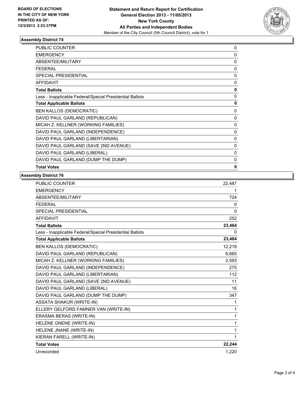

### **Assembly District 74**

| <b>PUBLIC COUNTER</b>                                    | 0            |
|----------------------------------------------------------|--------------|
| <b>EMERGENCY</b>                                         | $\mathbf{0}$ |
| ABSENTEE/MILITARY                                        | $\mathbf{0}$ |
| <b>FEDERAL</b>                                           | 0            |
| SPECIAL PRESIDENTIAL                                     | 0            |
| <b>AFFIDAVIT</b>                                         | 0            |
| <b>Total Ballots</b>                                     | 0            |
| Less - Inapplicable Federal/Special Presidential Ballots | 0            |
| <b>Total Applicable Ballots</b>                          | 0            |
| <b>BEN KALLOS (DEMOCRATIC)</b>                           | 0            |
| DAVID PAUL GARLAND (REPUBLICAN)                          | $\mathbf{0}$ |
| MICAH Z. KELLNER (WORKING FAMILIES)                      | $\mathbf{0}$ |
| DAVID PAUL GARLAND (INDEPENDENCE)                        | $\mathbf{0}$ |
| DAVID PAUL GARLAND (LIBERTARIAN)                         | 0            |
| DAVID PAUL GARLAND (SAVE 2ND AVENUE)                     | 0            |
| DAVID PAUL GARLAND (LIBERAL)                             | 0            |
| DAVID PAUL GARLAND (DUMP THE DUMP)                       | 0            |
| <b>Total Votes</b>                                       | 0            |

### **Assembly District 76**

| PUBLIC COUNTER                                           | 22,487   |
|----------------------------------------------------------|----------|
| <b>EMERGENCY</b>                                         | 1        |
| <b>ABSENTEE/MILITARY</b>                                 | 724      |
| <b>FEDERAL</b>                                           | 0        |
| <b>SPECIAL PRESIDENTIAL</b>                              | $\Omega$ |
| <b>AFFIDAVIT</b>                                         | 252      |
| <b>Total Ballots</b>                                     | 23,464   |
| Less - Inapplicable Federal/Special Presidential Ballots | 0        |
| <b>Total Applicable Ballots</b>                          | 23,464   |
| <b>BEN KALLOS (DEMOCRATIC)</b>                           | 12.219   |
| DAVID PAUL GARLAND (REPUBLICAN)                          | 6,665    |
| MICAH Z. KELLNER (WORKING FAMILIES)                      | 2,593    |
| DAVID PAUL GARLAND (INDEPENDENCE)                        | 275      |
| DAVID PAUL GARLAND (LIBERTARIAN)                         | 112      |
| DAVID PAUL GARLAND (SAVE 2ND AVENUE)                     | 11       |
| DAVID PAUL GARLAND (LIBERAL)                             | 16       |
| DAVID PAUL GARLAND (DUMP THE DUMP)                       | 347      |
| <b>ASSATA SHAKUR (WRITE-IN)</b>                          | 1        |
| ELLERY GELFORD FAMNER VAN (WRITE-IN)                     | 1        |
| ERASMA BERAS (WRITE-IN)                                  | 1        |
| HELENE GNENE (WRITE-IN)                                  | 1        |
| HELENE JNANE (WRITE-IN)                                  | 1        |
| KIERAN FARELL (WRITE-IN)                                 | 1        |
| <b>Total Votes</b>                                       | 22,244   |
| Unrecorded                                               | 1,220    |